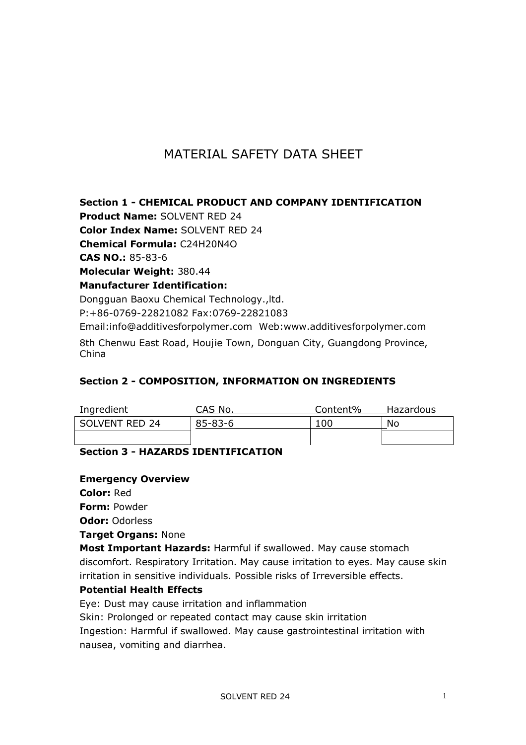# MATERIAL SAFETY DATA SHEET

**Section 1 - CHEMICAL PRODUCT AND COMPANY IDENTIFICATION**

**Product Name:** SOLVENT RED 24

**Color Index Name:** SOLVENT RED 24

**Chemical Formula:** C24H20N4O

**CAS NO.:** 85-83-6

**Molecular Weight:** 380.44

**Manufacturer Identification:**

Dongguan Baoxu Chemical Technology.,ltd.

P:+86-0769-22821082 Fax:0769-22821083

Email:info@additivesforpolymer.com Web:www.additivesforpolymer.com 8th Chenwu East Road, Houjie Town, Donguan City, Guangdong Province, China

### **Section 2 - COMPOSITION, INFORMATION ON INGREDIENTS**

| Ingredient     | CAS No.       | Content% | Hazardous |
|----------------|---------------|----------|-----------|
| SOLVENT RED 24 | $85 - 83 - 6$ | 10C      | No        |
|                |               |          |           |

### **Section 3 - HAZARDS IDENTIFICATION**

#### **Emergency Overview**

**Color:** Red

**Form:** Powder

**Odor:** Odorless

**Target Organs:** None

**Most Important Hazards:** Harmful if swallowed. May cause stomach discomfort. Respiratory Irritation. May cause irritation to eyes. May cause skin irritation in sensitive individuals. Possible risks of Irreversible effects.

### **Potential Health Effects**

Eye: Dust may cause irritation and inflammation

Skin: Prolonged or repeated contact may cause skin irritation

Ingestion: Harmful if swallowed. May cause gastrointestinal irritation with nausea, vomiting and diarrhea.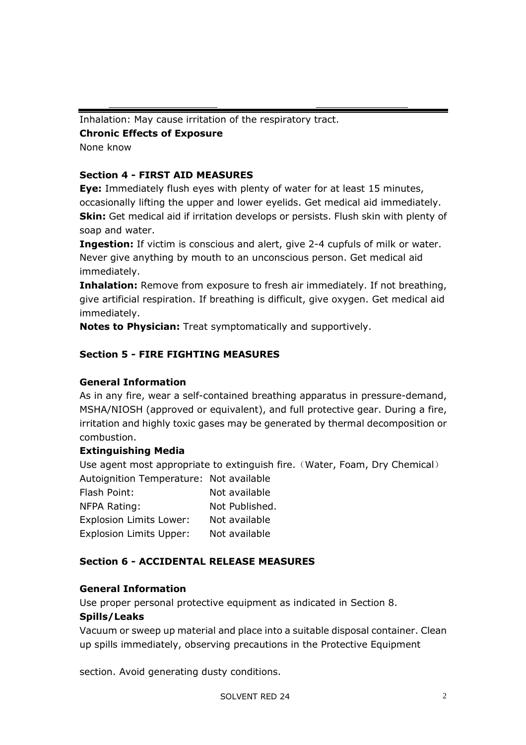Inhalation: May cause irritation of the respiratory tract.

**Chronic Effects of Exposure** 

None know

# **Section 4 - FIRST AID MEASURES**

**Eye:** Immediately flush eyes with plenty of water for at least 15 minutes, occasionally lifting the upper and lower eyelids. Get medical aid immediately. **Skin:** Get medical aid if irritation develops or persists. Flush skin with plenty of soap and water.

**Ingestion:** If victim is conscious and alert, give 2-4 cupfuls of milk or water. Never give anything by mouth to an unconscious person. Get medical aid immediately.

**Inhalation:** Remove from exposure to fresh air immediately. If not breathing, give artificial respiration. If breathing is difficult, give oxygen. Get medical aid immediately.

**Notes to Physician:** Treat symptomatically and supportively.

# **Section 5 - FIRE FIGHTING MEASURES**

### **General Information**

As in any fire, wear a self-contained breathing apparatus in pressure-demand, MSHA/NIOSH (approved or equivalent), and full protective gear. During a fire, irritation and highly toxic gases may be generated by thermal decomposition or combustion.

### **Extinguishing Media**

Use agent most appropriate to extinguish fire. (Water, Foam, Dry Chemical)

| Autoignition Temperature: Not available |                |  |
|-----------------------------------------|----------------|--|
| Flash Point:                            | Not available  |  |
| NFPA Rating:                            | Not Published. |  |
| <b>Explosion Limits Lower:</b>          | Not available  |  |
| <b>Explosion Limits Upper:</b>          | Not available  |  |

### **Section 6 - ACCIDENTAL RELEASE MEASURES**

### **General Information**

Use proper personal protective equipment as indicated in Section 8.

#### **Spills/Leaks**

Vacuum or sweep up material and place into a suitable disposal container. Clean up spills immediately, observing precautions in the Protective Equipment

section. Avoid generating dusty conditions.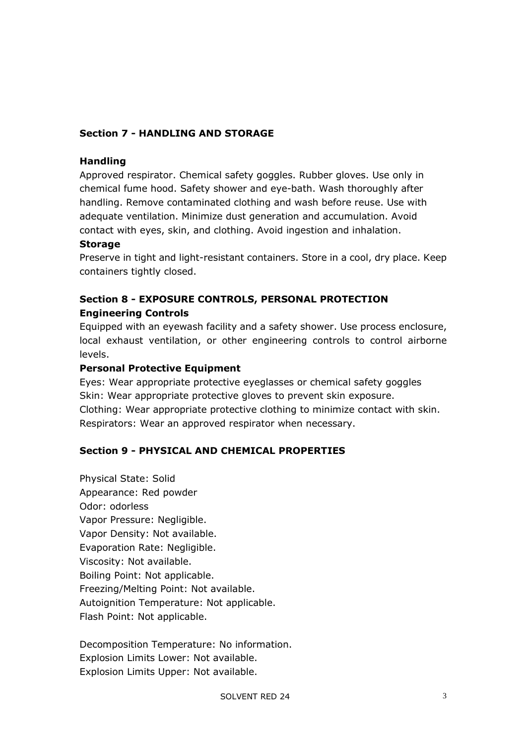### **Section 7 - HANDLING AND STORAGE**

#### **Handling**

Approved respirator. Chemical safety goggles. Rubber gloves. Use only in chemical fume hood. Safety shower and eye-bath. Wash thoroughly after handling. Remove contaminated clothing and wash before reuse. Use with adequate ventilation. Minimize dust generation and accumulation. Avoid contact with eyes, skin, and clothing. Avoid ingestion and inhalation.

#### **Storage**

Preserve in tight and light-resistant containers. Store in a cool, dry place. Keep containers tightly closed.

# **Section 8 - EXPOSURE CONTROLS, PERSONAL PROTECTION Engineering Controls**

Equipped with an eyewash facility and a safety shower. Use process enclosure, local exhaust ventilation, or other engineering controls to control airborne levels.

#### **Personal Protective Equipment**

Eyes: Wear appropriate protective eyeglasses or chemical safety goggles Skin: Wear appropriate protective gloves to prevent skin exposure. Clothing: Wear appropriate protective clothing to minimize contact with skin. Respirators: Wear an approved respirator when necessary.

### **Section 9 - PHYSICAL AND CHEMICAL PROPERTIES**

Physical State: Solid Appearance: Red powder Odor: odorless Vapor Pressure: Negligible. Vapor Density: Not available. Evaporation Rate: Negligible. Viscosity: Not available. Boiling Point: Not applicable. Freezing/Melting Point: Not available. Autoignition Temperature: Not applicable. Flash Point: Not applicable.

Decomposition Temperature: No information. Explosion Limits Lower: Not available. Explosion Limits Upper: Not available.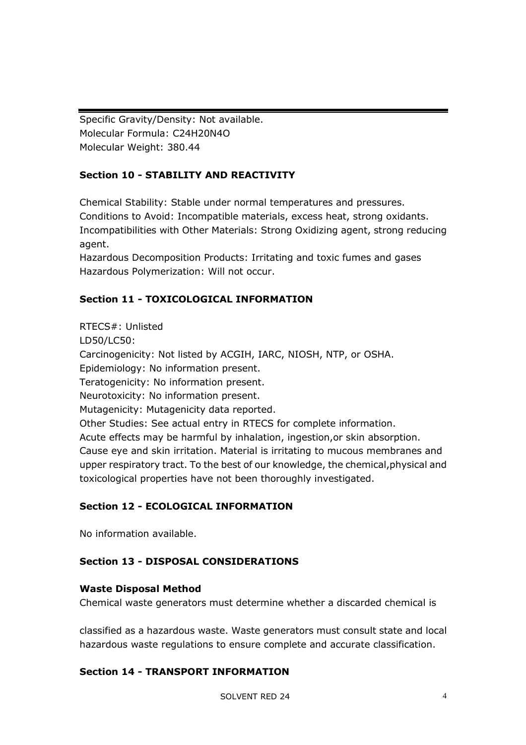Specific Gravity/Density: Not available. Molecular Formula: C24H20N4O Molecular Weight: 380.44

# **Section 10 - STABILITY AND REACTIVITY**

Chemical Stability: Stable under normal temperatures and pressures. Conditions to Avoid: Incompatible materials, excess heat, strong oxidants. Incompatibilities with Other Materials: Strong Oxidizing agent, strong reducing agent.

Hazardous Decomposition Products: Irritating and toxic fumes and gases Hazardous Polymerization: Will not occur.

# **Section 11 - TOXICOLOGICAL INFORMATION**

RTECS#: Unlisted LD50/LC50: Carcinogenicity: Not listed by ACGIH, IARC, NIOSH, NTP, or OSHA. Epidemiology: No information present. Teratogenicity: No information present. Neurotoxicity: No information present. Mutagenicity: Mutagenicity data reported. Other Studies: See actual entry in RTECS for complete information. Acute effects may be harmful by inhalation, ingestion,or skin absorption. Cause eye and skin irritation. Material is irritating to mucous membranes and upper respiratory tract. To the best of our knowledge, the chemical,physical and toxicological properties have not been thoroughly investigated.

# **Section 12 - ECOLOGICAL INFORMATION**

No information available.

# **Section 13 - DISPOSAL CONSIDERATIONS**

### **Waste Disposal Method**

Chemical waste generators must determine whether a discarded chemical is

classified as a hazardous waste. Waste generators must consult state and local hazardous waste regulations to ensure complete and accurate classification.

### **Section 14 - TRANSPORT INFORMATION**

SOLVENT RED 24 4